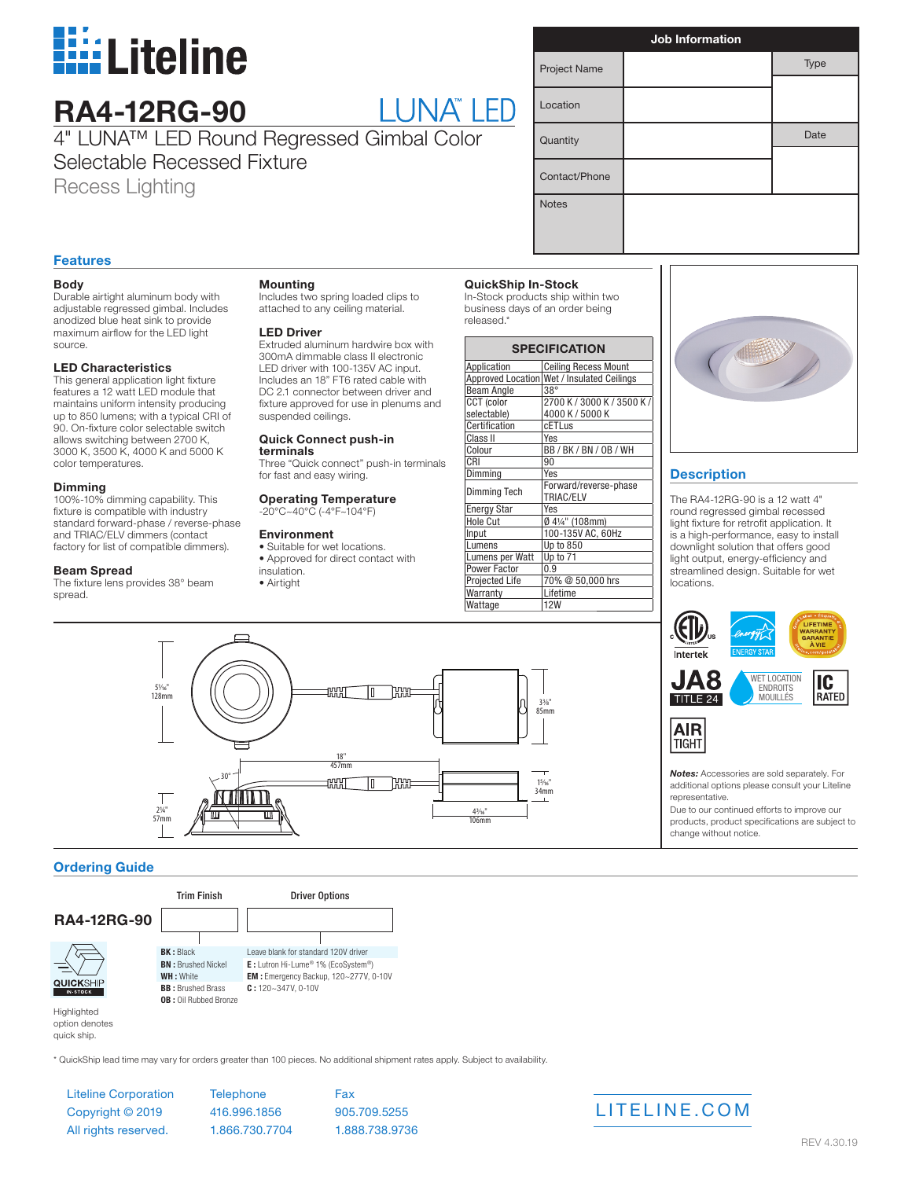

## **RA4-12RG-90**

# LUNA" LED

4" LUNA™ LED Round Regressed Gimbal Color Selectable Recessed Fixture

Recess Lighting

| <b>Job Information</b> |  |      |
|------------------------|--|------|
| Project Name           |  | Type |
|                        |  |      |
| Location               |  |      |
| Quantity               |  | Date |
|                        |  |      |
| Contact/Phone          |  |      |
| <b>Notes</b>           |  |      |
|                        |  |      |
|                        |  |      |

#### **Features**

#### **Body**

Durable airtight aluminum body with adjustable regressed gimbal. Includes anodized blue heat sink to provide maximum airflow for the LED light source.

#### **LED Characteristics**

This general application light fixture features a 12 watt LED module that maintains uniform intensity producing up to 850 lumens; with a typical CRI of 90. On-fixture color selectable switch allows switching between 2700 K, 3000 K, 3500 K, 4000 K and 5000 K color temperatures.

#### **Dimming**

100%-10% dimming capability. This fixture is compatible with industry standard forward-phase / reverse-phase and TRIAC/ELV dimmers (contact factory for list of compatible dimmers).

#### **Beam Spread**

The fixture lens provides 38° beam spread.

51⁄16" 128mm

2¼" 57mm

#### **Mounting**

Includes two spring loaded clips to attached to any ceiling material.

#### **LED Driver**

Extruded aluminum hardwire box with 300mA dimmable class II electronic LED driver with 100-135V AC input. Includes an 18" FT6 rated cable with DC 2.1 connector between driver and fixture approved for use in plenums and suspended ceilings.

#### **Quick Connect push-in**

**terminals** Three "Quick connect" push-in terminals for fast and easy wiring.

#### **Operating Temperature** -20°C~40°C (-4°F~104°F)

#### **Environment**

• Suitable for wet locations. • Approved for direct contact with insulation.

> 18" 457mm

**SSSEE** 

**AYAT** 

rm

**THINGE** 

• Airtight

#### **QuickShip In-Stock**

In-Stock products ship within two business days of an order being released.\*

| <b>SPECIFICATION</b>  |                                            |  |
|-----------------------|--------------------------------------------|--|
| Application           | <b>Ceiling Recess Mount</b>                |  |
|                       | Approved Location Wet / Insulated Ceilings |  |
| <b>Beam Angle</b>     | $38^\circ$                                 |  |
| <b>CCT</b> (color     | 2700 K / 3000 K / 3500 K /                 |  |
| selectable)           | 4000 K / 5000 K                            |  |
| Certification         | <b>CETLus</b>                              |  |
| Class II              | Yes                                        |  |
| Colour                | BB/BK/BN/0B/WH                             |  |
| CRI                   | 90                                         |  |
| Dimming               | Yes                                        |  |
| Dimming Tech          | Forward/reverse-phase                      |  |
|                       | TRIAC/ELV                                  |  |
| <b>Energy Star</b>    | Yes                                        |  |
| <b>Hole Cut</b>       | Ø 41/4" (108mm)                            |  |
| Input                 | 100-135V AC, 60Hz                          |  |
| Lumens                | Up to 850                                  |  |
| Lumens per Watt       | Up to 71                                   |  |
| Power Factor          | 0.9                                        |  |
| <b>Projected Life</b> | 70% @ 50,000 hrs                           |  |
| Warranty              | Lifetime                                   |  |
| Wattage               | <b>12W</b>                                 |  |

 $3^{3}/8$  $85<sub>mm</sub>$ 

15⁄16" 34mm

43⁄16"  $106m$ 



#### **Description**

The RA4-12RG-90 is a 12 watt 4" round regressed gimbal recessed light fixture for retrofit application. It is a high-performance, easy to install downlight solution that offers good light output, energy-efficiency and streamlined design. Suitable for wet locations.





*Notes:* Accessories are sold separately. For additional options please consult your Liteline representative.

Due to our continued efforts to improve our products, product specifications are subject to change without notice.

#### **Ordering Guide**



30°

quick ship.

\* QuickShip lead time may vary for orders greater than 100 pieces. No additional shipment rates apply. Subject to availability.

Liteline Corporation Copyright © 2019 All rights reserved.

**Telephone** 416.996.1856 1.866.730.7704 Fax 905.709.5255 1.888.738.9736